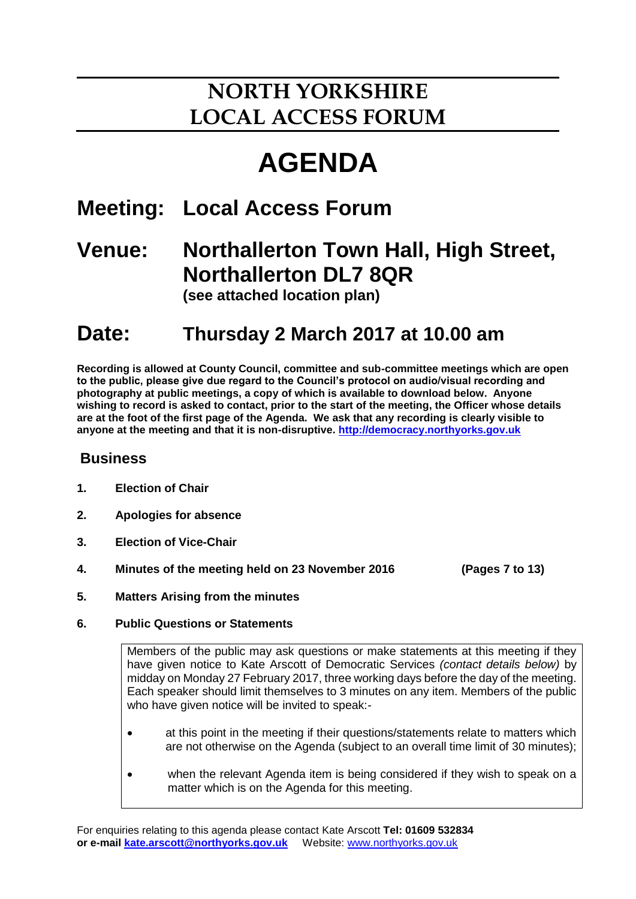# **NORTH YORKSHIRE LOCAL ACCESS FORUM**

# **AGENDA**

# **Meeting: Local Access Forum**

## **Venue: Northallerton Town Hall, High Street, Northallerton DL7 8QR (see attached location plan)**

**Date: Thursday 2 March 2017 at 10.00 am**

**Recording is allowed at County Council, committee and sub-committee meetings which are open to the public, please give due regard to the Council's protocol on audio/visual recording and photography at public meetings, a copy of which is available to download below. Anyone wishing to record is asked to contact, prior to the start of the meeting, the Officer whose details are at the foot of the first page of the Agenda. We ask that any recording is clearly visible to anyone at the meeting and that it is non-disruptive. [http://democracy.northyorks.gov.uk](http://democracy.northyorks.gov.uk/)**

### **Business**

- **1. Election of Chair**
- **2. Apologies for absence**
- **3. Election of Vice-Chair**
- **4. Minutes of the meeting held on 23 November 2016 (Pages 7 to 13)**
- **5. Matters Arising from the minutes**
- **6. Public Questions or Statements**

Members of the public may ask questions or make statements at this meeting if they have given notice to Kate Arscott of Democratic Services *(contact details below)* by midday on Monday 27 February 2017, three working days before the day of the meeting. Each speaker should limit themselves to 3 minutes on any item. Members of the public who have given notice will be invited to speak:-

- at this point in the meeting if their questions/statements relate to matters which are not otherwise on the Agenda (subject to an overall time limit of 30 minutes);
- when the relevant Agenda item is being considered if they wish to speak on a matter which is on the Agenda for this meeting.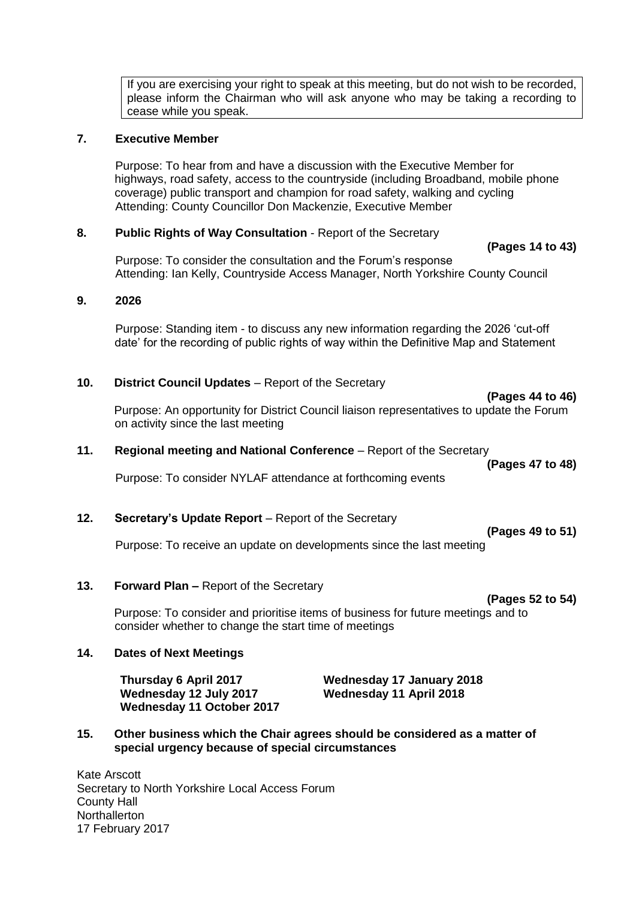If you are exercising your right to speak at this meeting, but do not wish to be recorded, please inform the Chairman who will ask anyone who may be taking a recording to cease while you speak.

#### **7. Executive Member**

Purpose: To hear from and have a discussion with the Executive Member for highways, road safety, access to the countryside (including Broadband, mobile phone coverage) public transport and champion for road safety, walking and cycling Attending: County Councillor Don Mackenzie, Executive Member

#### **8. Public Rights of Way Consultation** - Report of the Secretary

Purpose: To consider the consultation and the Forum's response Attending: Ian Kelly, Countryside Access Manager, North Yorkshire County Council

#### **9. 2026**

Purpose: Standing item - to discuss any new information regarding the 2026 'cut-off date' for the recording of public rights of way within the Definitive Map and Statement

#### **10. District Council Updates** – Report of the Secretary

**(Pages 44 to 46)**

**(Pages 14 to 43)**

Purpose: An opportunity for District Council liaison representatives to update the Forum on activity since the last meeting

#### **11. Regional meeting and National Conference** – Report of the Secretary

Purpose: To consider NYLAF attendance at forthcoming events

#### **12. Secretary's Update Report** – Report of the Secretary

**(Pages 49 to 51)**

**(Pages 47 to 48)**

Purpose: To receive an update on developments since the last meeting

#### **13. Forward Plan –** Report of the Secretary

**(Pages 52 to 54)**

Purpose: To consider and prioritise items of business for future meetings and to consider whether to change the start time of meetings

#### **14. Dates of Next Meetings**

**Wednesday 12 July 2017 Wednesday 11 April 2018 Wednesday 11 October 2017** 

**Thursday 6 April 2017 Wednesday 17 January 2018** 

#### **15. Other business which the Chair agrees should be considered as a matter of special urgency because of special circumstances**

Kate Arscott Secretary to North Yorkshire Local Access Forum County Hall **Northallerton** 17 February 2017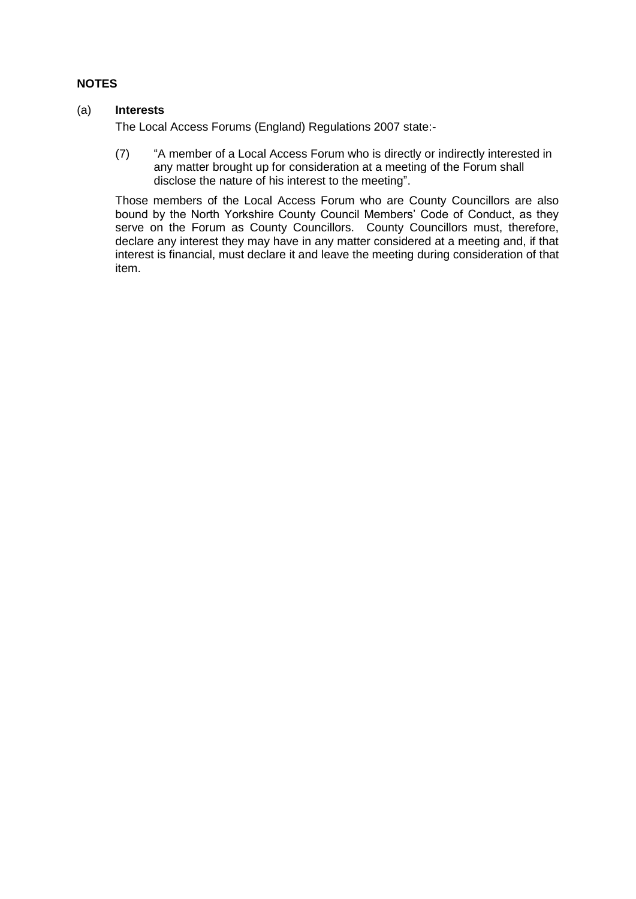#### **NOTES**

#### (a) **Interests**

The Local Access Forums (England) Regulations 2007 state:-

(7) "A member of a Local Access Forum who is directly or indirectly interested in any matter brought up for consideration at a meeting of the Forum shall disclose the nature of his interest to the meeting".

Those members of the Local Access Forum who are County Councillors are also bound by the North Yorkshire County Council Members' Code of Conduct, as they serve on the Forum as County Councillors. County Councillors must, therefore, declare any interest they may have in any matter considered at a meeting and, if that interest is financial, must declare it and leave the meeting during consideration of that item.